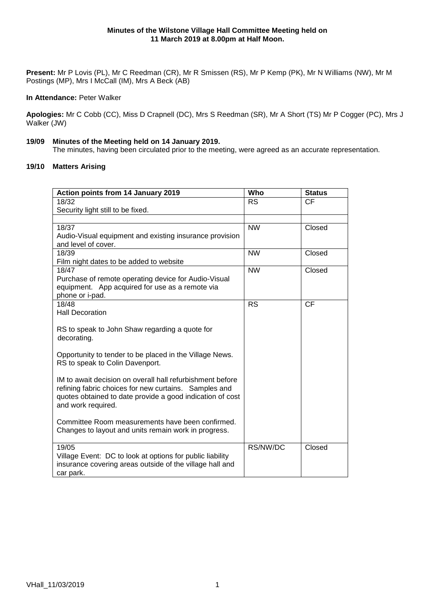**Present:** Mr P Lovis (PL), Mr C Reedman (CR), Mr R Smissen (RS), Mr P Kemp (PK), Mr N Williams (NW), Mr M Postings (MP), Mrs I McCall (IM), Mrs A Beck (AB)

## **In Attendance:** Peter Walker

**Apologies:** Mr C Cobb (CC), Miss D Crapnell (DC), Mrs S Reedman (SR), Mr A Short (TS) Mr P Cogger (PC), Mrs J Walker (JW)

# **19/09 Minutes of the Meeting held on 14 January 2019.**

The minutes, having been circulated prior to the meeting, were agreed as an accurate representation.

# **19/10 Matters Arising**

| Action points from 14 January 2019                        | Who       | <b>Status</b> |
|-----------------------------------------------------------|-----------|---------------|
| 18/32                                                     | <b>RS</b> | <b>CF</b>     |
| Security light still to be fixed.                         |           |               |
|                                                           |           |               |
| 18/37                                                     | <b>NW</b> | Closed        |
| Audio-Visual equipment and existing insurance provision   |           |               |
| and level of cover.                                       |           |               |
| 18/39                                                     | <b>NW</b> | Closed        |
| Film night dates to be added to website                   |           |               |
| 18/47                                                     | <b>NW</b> | Closed        |
| Purchase of remote operating device for Audio-Visual      |           |               |
| equipment. App acquired for use as a remote via           |           |               |
| phone or i-pad.                                           |           |               |
| 18/48                                                     | <b>RS</b> | <b>CF</b>     |
| <b>Hall Decoration</b>                                    |           |               |
|                                                           |           |               |
| RS to speak to John Shaw regarding a quote for            |           |               |
| decorating.                                               |           |               |
|                                                           |           |               |
| Opportunity to tender to be placed in the Village News.   |           |               |
| RS to speak to Colin Davenport.                           |           |               |
| IM to await decision on overall hall refurbishment before |           |               |
| refining fabric choices for new curtains. Samples and     |           |               |
| quotes obtained to date provide a good indication of cost |           |               |
| and work required.                                        |           |               |
|                                                           |           |               |
| Committee Room measurements have been confirmed.          |           |               |
| Changes to layout and units remain work in progress.      |           |               |
|                                                           |           |               |
| 19/05                                                     | RS/NW/DC  | Closed        |
| Village Event: DC to look at options for public liability |           |               |
| insurance covering areas outside of the village hall and  |           |               |
| car park.                                                 |           |               |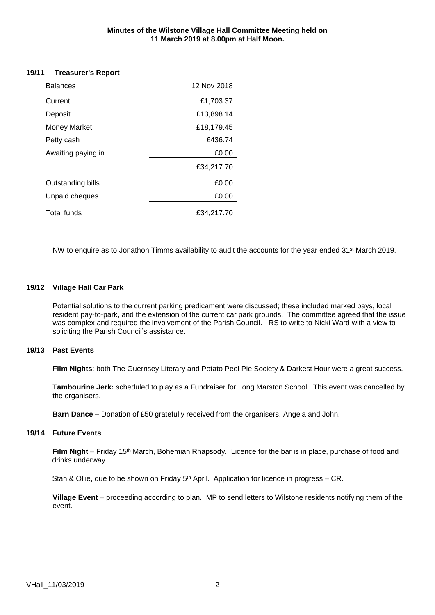#### **Minutes of the Wilstone Village Hall Committee Meeting held on 11 March 2019 at 8.00pm at Half Moon.**

# **19/11 Treasurer's Report**

| <b>Balances</b>          | 12 Nov 2018 |
|--------------------------|-------------|
| Current                  | £1,703.37   |
| Deposit                  | £13,898.14  |
| <b>Money Market</b>      | £18,179.45  |
| Petty cash               | £436.74     |
| Awaiting paying in       | £0.00       |
|                          | £34,217.70  |
| <b>Outstanding bills</b> | £0.00       |
| Unpaid cheques           | £0.00       |
| Total funds              | £34,217.70  |

NW to enquire as to Jonathon Timms availability to audit the accounts for the year ended 31<sup>st</sup> March 2019.

# **19/12 Village Hall Car Park**

Potential solutions to the current parking predicament were discussed; these included marked bays, local resident pay-to-park, and the extension of the current car park grounds. The committee agreed that the issue was complex and required the involvement of the Parish Council. RS to write to Nicki Ward with a view to soliciting the Parish Council's assistance.

#### **19/13 Past Events**

**Film Nights**: both The Guernsey Literary and Potato Peel Pie Society & Darkest Hour were a great success.

**Tambourine Jerk:** scheduled to play as a Fundraiser for Long Marston School. This event was cancelled by the organisers.

**Barn Dance –** Donation of £50 gratefully received from the organisers, Angela and John.

#### **19/14 Future Events**

Film Night – Friday 15<sup>th</sup> March, Bohemian Rhapsody. Licence for the bar is in place, purchase of food and drinks underway.

Stan & Ollie, due to be shown on Friday 5<sup>th</sup> April. Application for licence in progress – CR.

**Village Event** – proceeding according to plan. MP to send letters to Wilstone residents notifying them of the event.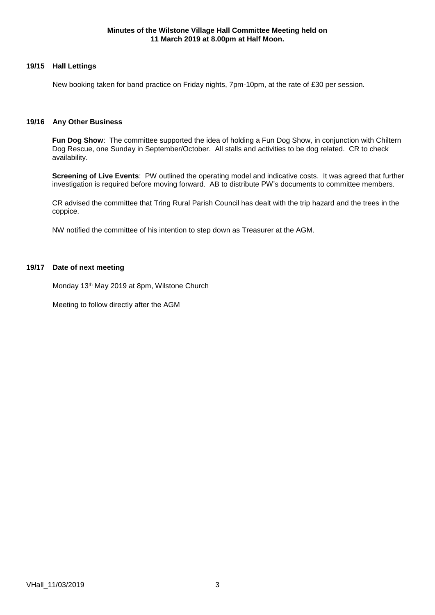## **19/15 Hall Lettings**

New booking taken for band practice on Friday nights, 7pm-10pm, at the rate of £30 per session.

#### **19/16 Any Other Business**

**Fun Dog Show**: The committee supported the idea of holding a Fun Dog Show, in conjunction with Chiltern Dog Rescue, one Sunday in September/October. All stalls and activities to be dog related. CR to check availability.

**Screening of Live Events**: PW outlined the operating model and indicative costs. It was agreed that further investigation is required before moving forward. AB to distribute PW's documents to committee members.

CR advised the committee that Tring Rural Parish Council has dealt with the trip hazard and the trees in the coppice.

NW notified the committee of his intention to step down as Treasurer at the AGM.

# **19/17 Date of next meeting**

Monday 13th May 2019 at 8pm, Wilstone Church

Meeting to follow directly after the AGM